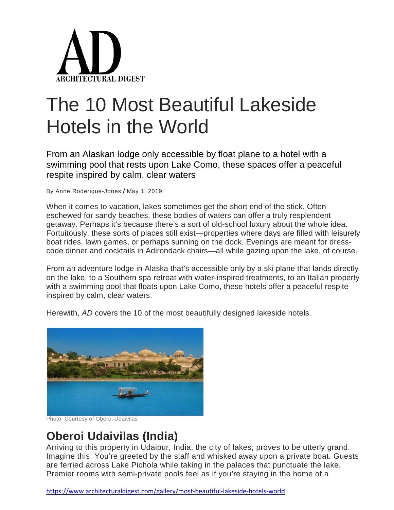

# The 10 Most Beautiful Lakeside Hotels in the World

From an Alaskan lodge only accessible by float plane to a hotel with a swimming pool that rests upon Lake Como, these spaces offer a peaceful respite inspired by calm, clear waters

By [Anne Roderique-Jones](https://www.architecturaldigest.com/contributor/anne-roderique-jones) / May 1, 2019

When it comes to vacation, lakes sometimes get the short end of the stick. Often eschewed for sandy beaches, these bodies of waters can offer a truly resplendent getaway. Perhaps it's because there's a sort of old-school luxury about the whole idea. Fortuitously, these sorts of places still exist—properties where days are filled with leisurely boat rides, lawn games, or perhaps sunning on the dock. Evenings are meant for dresscode dinner and cocktails in Adirondack chairs—all while gazing upon the lake, of course.

From an adventure lodge in Alaska that's accessible only by a ski plane that lands directly on the lake, to a Southern spa retreat with water-inspired treatments, to an Italian property with a swimming pool that floats upon Lake Como, these hotels offer a peaceful respite inspired by calm, clear waters.

Herewith, *AD* covers the 10 of the most beautifully designed lakeside hotels.



Photo: Courtesy of Oberoi Udaivilas

#### **Oberoi Udaivilas (India)**

Arriving to this property in Udaipur, India, the city of lakes, proves to be utterly grand. Imagine this: You're greeted by the staff and whisked away upon a private boat. Guests are ferried across Lake Pichola while taking in the palaces that punctuate the lake. Premier rooms with semi-private pools feel as if you're staying in the home of a

<https://www.architecturaldigest.com/gallery/most-beautiful-lakeside-hotels-world>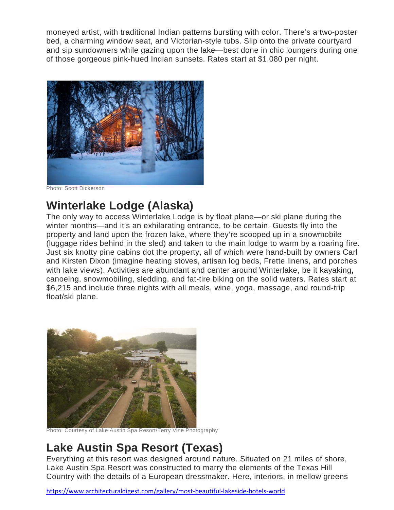moneyed artist, with traditional Indian patterns bursting with color. There's a two-poster bed, a charming window seat, and Victorian-style tubs. Slip onto the private courtyard and sip sundowners while gazing upon the lake—best done in chic loungers during one of those gorgeous pink-hued Indian sunsets. [Rates start at \\$1,080 per night.](https://www.oberoihotels.com/hotels-in-udaipur-udaivilas-resort)



Photo: Scott Dickerson

# **Winterlake Lodge (Alaska)**

The only way to access Winterlake Lodge is by float plane—or ski plane during the winter months—and it's an exhilarating entrance, to be certain. Guests fly into the property and land upon the frozen lake, where they're scooped up in a snowmobile (luggage rides behind in the sled) and taken to the main lodge to warm by a roaring fire. Just six knotty pine cabins dot the property, all of which were hand-built by owners Carl and Kirsten Dixon (imagine heating stoves, artisan log beds, Frette linens, and porches with lake views). Activities are abundant and center around Winterlake, be it kayaking, canoeing, snowmobiling, sledding, and fat-tire biking on the solid waters. [Rates start at](http://withinthewild.com/lodges/winterlake/)  [\\$6,215](http://withinthewild.com/lodges/winterlake/) and include three nights with all meals, wine, yoga, massage, and round-trip float/ski plane.



Photo: Courtesy of Lake Austin Spa Resort/Terry Vine Photography

## **Lake Austin Spa Resort (Texas)**

Everything at this resort was designed around nature. Situated on 21 miles of shore, Lake Austin Spa Resort was constructed to marry the elements of the Texas Hill Country with the details of a European dressmaker. Here, interiors, in mellow greens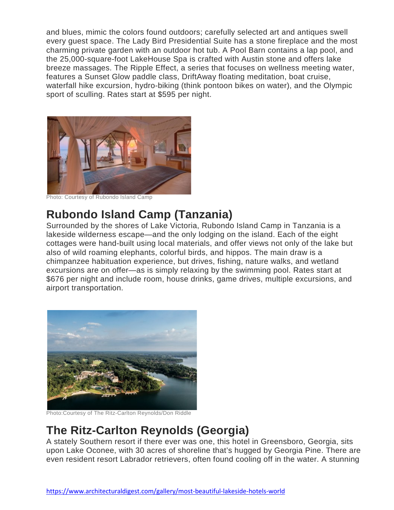and blues, mimic the colors found outdoors; carefully selected art and antiques swell every guest space. The Lady Bird Presidential Suite has a stone fireplace and the most charming private garden with an outdoor hot tub. A Pool Barn contains a lap pool, and the 25,000-square-foot LakeHouse Spa is crafted with Austin stone and offers lake breeze massages. The Ripple Effect, a series that focuses on wellness meeting water, features a Sunset Glow paddle class, DriftAway floating meditation, boat cruise, waterfall hike excursion, hydro-biking (think pontoon bikes on water), and the Olympic sport of sculling. [Rates start at \\$595 per night.](https://www.lakeaustin.com/)



Photo: Courtesy of Rubondo Island Camp

#### **Rubondo Island Camp (Tanzania)**

Surrounded by the shores of Lake Victoria, Rubondo Island Camp in Tanzania is a lakeside wilderness escape—and the only lodging on the island. Each of the eight cottages were hand-built using local materials, and offer views not only of the lake but also of wild roaming elephants, colorful birds, and hippos. The main draw is a chimpanzee habituation experience, but drives, fishing, nature walks, and wetland excursions are on offer—as is simply relaxing by the swimming pool. [Rates start at](https://www.asiliaafrica.com/east-africa-safari/tanzania/rubondo-island/rubondo-island-camp/)  [\\$676 per night](https://www.asiliaafrica.com/east-africa-safari/tanzania/rubondo-island/rubondo-island-camp/) and include room, house drinks, game drives, multiple excursions, and airport transportation.



Photo:Courtesy of The Ritz-Carlton Reynolds/Don Riddle

#### **The Ritz-Carlton Reynolds (Georgia)**

A stately Southern resort if there ever was one, this hotel in Greensboro, Georgia, sits upon Lake Oconee, with 30 acres of shoreline that's hugged by Georgia Pine. There are even resident resort Labrador retrievers, often found cooling off in the water. A stunning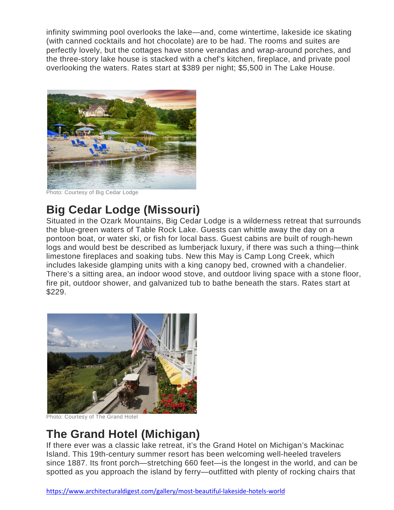infinity swimming pool overlooks the lake—and, come wintertime, lakeside ice skating (with canned cocktails and hot chocolate) are to be had. The rooms and suites are perfectly lovely, but the cottages have stone verandas and wrap-around porches, and the three-story lake house is stacked with a chef's kitchen, fireplace, and private pool overlooking the waters. [Rates start at \\$389 per night; \\$5,500 in The Lake House.](http://ritzcarlton.com/reynolds)



Photo: Courtesy of Big Cedar Lodge

# **Big Cedar Lodge (Missouri)**

Situated in the Ozark Mountains, Big Cedar Lodge is a wilderness retreat that surrounds the blue-green waters of Table Rock Lake. Guests can whittle away the day on a pontoon boat, or water ski, or fish for local bass. Guest cabins are built of rough-hewn logs and would best be described as lumberjack luxury, if there was such a thing—think limestone fireplaces and soaking tubs. New this May is Camp Long Creek, which includes lakeside glamping units with a king canopy bed, crowned with a chandelier. There's a sitting area, an indoor wood stove, and outdoor living space with a stone floor, fire pit, outdoor shower, and galvanized tub to bathe beneath the stars. [Rates start at](https://www.bigcedar.com/)  [\\$229.](https://www.bigcedar.com/)



Photo: Courtesy of The Grand Hotel

# **The Grand Hotel (Michigan)**

If there ever was a classic lake retreat, it's the Grand Hotel on Michigan's Mackinac Island. This 19th-century summer resort has been welcoming well-heeled travelers since 1887. Its front porch—stretching 660 feet—is the longest in the world, and can be spotted as you approach the island by ferry—outfitted with plenty of rocking chairs that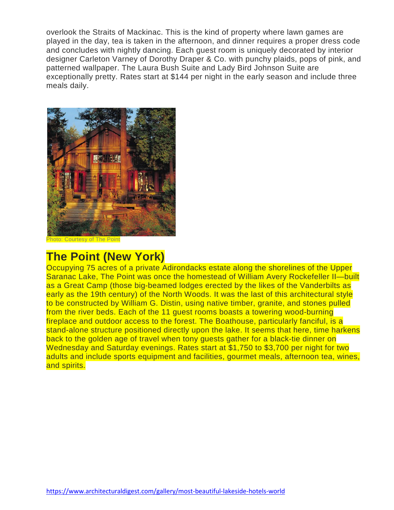overlook the Straits of Mackinac. This is the kind of property where lawn games are played in the day, tea is taken in the afternoon, and dinner requires a proper dress code and concludes with nightly dancing. Each guest room is uniquely decorated by interior designer Carleton Varney of Dorothy Draper & Co. with punchy plaids, pops of pink, and patterned wallpaper. The Laura Bush Suite and Lady Bird Johnson Suite are exceptionally pretty. [Rates start at \\$144 per night](https://www.grandhotel.com/) in the early season and include three meals daily.



Photo: Courtesy of The Point

#### **The Point (New York)**

Occupying 75 acres of a private Adirondacks estate along the shorelines of the Upper Saranac Lake, The Point was once the homestead of William Avery Rockefeller II—built as a Great Camp (those big-beamed lodges erected by the likes of the Vanderbilts as early as the 19th century) of the North Woods. It was the last of this architectural style to be constructed by William G. Distin, using native timber, granite, and stones pulled from the river beds. Each of the 11 guest rooms boasts a towering wood-burning fireplace and outdoor access to the forest. The Boathouse, particularly fanciful, is a stand-alone structure positioned directly upon the lake. It seems that here, time harkens back to the golden age of travel when tony guests gather for a black-tie dinner on Wednesday and Saturday evenings. [Rates start at \\$1,750 to \\$3,700 per night](https://thepointresort.com/) for two adults and include sports equipment and facilities, gourmet meals, afternoon tea, wines, and spirits.